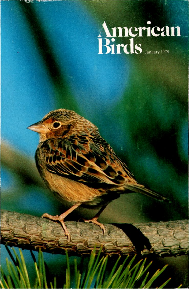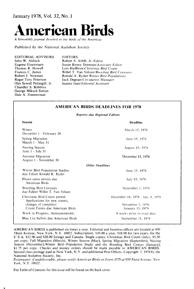

A bimonthly journal devoted to the birds of the Americas

**Published by the National Audubon Society** 

**EDITORIAL ADVISORS John W. Aldrich Eugene Eisenmann Thomas R. Howell Frances C. James Robert J. Newman Roger Tory Peterson Ohn Sewall Pettingill, Jr. Chandler S. Robbins George Miksch Sutton Dale A. Zimmerman** 

**EDITORS Robert S. Arbib, Jr./Editor Susan Roney Drennan/Associate Editor Lois Heilbrun/Christmas Bird Count**  Willet T. Van Velzen/Breeding Bird Censuses **Ronald A. Ryder/Winter Bird Populations Jack Degnan/ Circulation Manager Jeanne Gart/Editorial Assistant** 

#### **AMERICAN BIRDS DEADLINES FOR 1978**

**Reports due Regional Editors** 

| <b>Season</b>                                                | <b>Deadline</b>                  |
|--------------------------------------------------------------|----------------------------------|
| Winter<br>December 1 - February 28                           | March 15, 1978                   |
| Spring Migration<br>March 1 - May 31                         | June 15, 1978                    |
| Nesting Season<br>June 1 - July 31                           | August 15, 1978                  |
| Autumn Migration<br>August 1 - November 30                   | December 15, 1978                |
|                                                              | <b>Other Deadlines</b>           |
| Winter Bird-Population Studies<br>due Editor Ronald R. Ryder | June 15, 1978                    |
| Photo salon entries due<br>American Birds                    | July 15, 1978                    |
| Breeding Bird Censuses<br>due Editor Willet T. Van Velzen    | September 1, 1978                |
| Christmas Bird Count period<br>Applications for new counts,  | December 16, 1978 - Jan. 1, 1979 |
| changes of compilers                                         | November 1, 1978.                |
| Count Forms due American Birds                               | January 15, 1979                 |
| Work in Progress, Announcements                              | 6 weeks prior to issue date      |
| Blue List ballots due American Birds                         | September 15, 1978               |

**AMERICAN BIRDS is published six times a year. Editorial and business offices are located at 950 Third Avenue, New York, N.Y. 10022. Subscription: \$10.00 a year, \$18.00 for two years, for the U S.A. \$12.00 and \$20.00 foreign and Canada. Single cop}es: Christmas Bird Count (July), \$5.50 per copy; Fall Migration (March), Winter Season (May), Spring Migration (September), Nesting Season (November),Winter Bird-Population Study and the Breeding Bird Census (January), \$1 75 per copy. Checks and money orders should be made payable to AMERICAN BIRDS.**  Second class postage paid at New York, N.Y. and additional Post Offices. Copyright © 1978 by the **National Audubon Society, Inc.** 

**Postmaster: (f undeliverable, please notify American Birds on Form 3579 at 950 Third Avenue. New York, N.Y. 10022.** 

**The Table of Contents for this issue will be found on the back cover**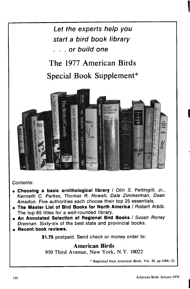

### **Contents:**

- **ß Choosing a basic ornithological library / Olin S. Pettingill, Jr., Kenneth C. Parkes, Thomas R. Howell, Dale Zimmerman, Dean Amadon. Five authorities each choose their top 25 essentials.**
- **The Master List of Bird Books for North America / Robert Arbib. The top 65 titles for a well-rounded library.**
- **An Annotated Selection of Regional Bird Books / Susan Roney Drennan. Sixty-six of the best state and provincial books.**
- **ß Recent book reviews.**

**\$1.75 postpaid. Send check or money order to:** 

## **American Birds**

**950 Third Avenue, New York, N.Y. 10022** 

**\* Reprinted from American Birds, Vol. 30, pp 1006-23.**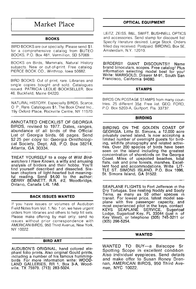# **I Market Place**

#### **BOOKS**

**BIRD BOOKS are our specialty. Please send \$1. for a comprehensive catalog from BUTEO BOOKS, P.O. Box 481, Vermillion, SD 57069.** 

**BOOKS on Birds, Mammals, Natural History subjects. New or out-of-print. Free catalog. PIERCE BOOK CO., Winthrop, Iowa 50682.** 

**BIRD BOOKS: Out of print, rare. Libraries and single copies bought and sold. Catalogues issued. PATRICIA LEDLIE.BOOKSELLER, Box 46, Buckfield, Maine 04220.** 

**NATURAL HISTORY. Especially BIRDS. Scarce, O P, Rare. Catalogues \$1. The Book Chest Inc., 19y Oxford Place, Rockville Centre, NY 11570.** 

**ANNOTATED CHECKLIST OF GEORGIA BIRDS, revised to 1977. Dates, ranges, abundance of all birds of the Official**  List of Georgia birds. 66 pages. Send **\$2 25 per copy to: Georgia Ornithological Society, Dept. AB, P.O. Box 38214, Atlanta, GA 30334.** 

**TREAT YOURSELF to a copy of Wild Birdwatchers I Have Known, a witty and amusing analysis of birders and their hobby. You'll find yourself described and dissected. Sixteen chapters of light-hearted but meaningful reading. Send \$4.00 to the author: GERRY BENNETT, R.R. ½2, Woodbridge, Ontario, Canada L4L 1A6.** 

#### **BACK ISSUES WANTED**

**If you have issues or volumes of Audubon Reid Notes from Vol. 1, No. 1 on, we have urgent orders from libraries and others to help fill sets. Please make offering by mail only; send no •ssues without prior correspondence with AMERICAN BIRDS, 950 Third Avenue, New York, NY 10022.** 

#### **BIRD ART**

**AUDUBON'S ORIGINAL, hand colored elephant folio prints. Also original Gould prints, •ncluding a number of his famous humming**birds For more information write: WOOL **LAND GALLERIES, RR 1, Box 3-A, Woodwile, TX 75979. (713) 283-5024.** 

#### **OPTICAL EQUIPMENT**

**LEITZ, ZEISS, B&L, SWIFT, BUSHNELL OPTICS and accessories. Send stamp for discount hst Specify literature desired. Large Stock. Orders filled day received. Postpaid. BIRDING, Box 5E, Amsterdam, N.Y. 12010.** 

**BIRDERS!! GIANT DISCOUNTS!! Name brand binoculars, scopes. Free catalog• Plus information selecting model best for you• Write: MARIGOLD, Drawer M-91, South San Francisco, California 94080.** 

#### **STAMPS**

**BIRDS ON POSTAGE STAMPS from many countries. 25 different 35½. Free list. GEO. FORD, P.O. Box 5203-A, Gulfport, Fla. 33737.** 

#### **BIRDING**

**BIRDING ON THE GOLDEN COAST OF GEORGIA. Little St. Simons, a 12,000 acre privately owned island, is now accepting a**  limited number of overnight guests for birding, wildlife photography and related activi**ties. Over 200 species of birds have been seen on the island including the greatest concentration of shorebirds on the Georgia Coast. Miles of upspolled beaches, tidal flats, oak and pine forests, marshes. Excellent food and accommodations. Write LIT-TLE ST. SIMONS ISLAND, P.O. Box 1096, St. Simons Island, GA 31522.** 

**SEAPLANE FLIGHTS to Fort Jefferson •n the Dry Tortugas. See nesting Noddy and Sooty Terns, as many as 50 other species •n transit. For lowest price, latest model seaplane with five passenger capacity, and most experienced pilot in the keys, contact KEYS SEAPLANE SERVICE, Sugerloaf Lodge, Sugarloaf Key, FL 33044 (just n of Key West), or telephone (305) 745-3211 or (305) 296-5254.** 

#### **WANTED**

**WANTED TO BUY--a Balscope Sr**  Spotting Scope in excellent condition Also individual eyepieces. Send details **and make offer to Susan Roney Drennan, AMERICAN BIRDS, 950 Third Avenue, NYC 10022.**